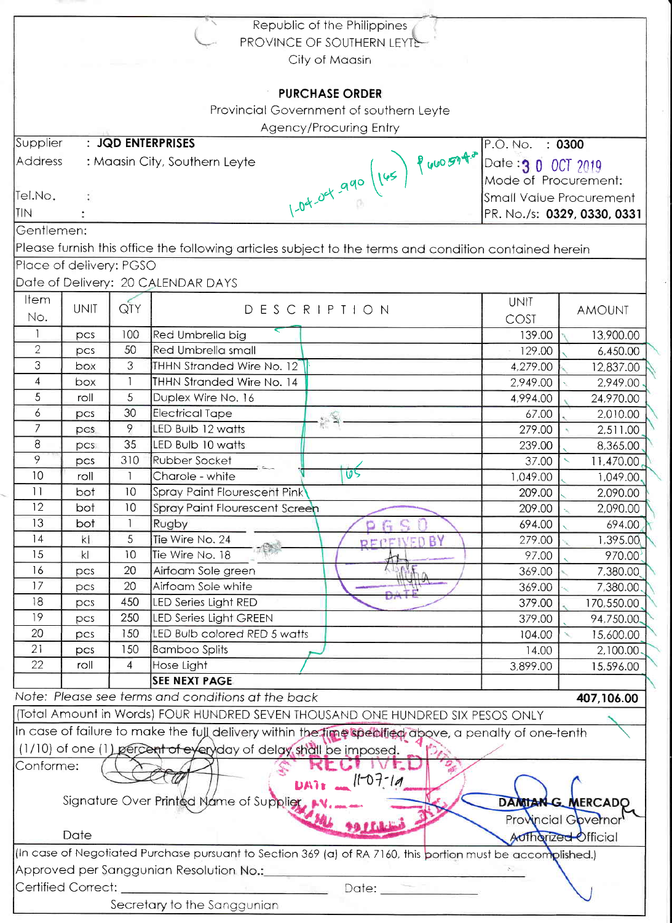| Republic of the Philippines                                                                                         |                                         |                |                                                                                                      |                       |                      |                       |  |  |  |  |
|---------------------------------------------------------------------------------------------------------------------|-----------------------------------------|----------------|------------------------------------------------------------------------------------------------------|-----------------------|----------------------|-----------------------|--|--|--|--|
| PROVINCE OF SOUTHERN LEYTE                                                                                          |                                         |                |                                                                                                      |                       |                      |                       |  |  |  |  |
| City of Maasin                                                                                                      |                                         |                |                                                                                                      |                       |                      |                       |  |  |  |  |
|                                                                                                                     |                                         |                |                                                                                                      |                       |                      |                       |  |  |  |  |
| <b>PURCHASE ORDER</b>                                                                                               |                                         |                |                                                                                                      |                       |                      |                       |  |  |  |  |
| Provincial Government of southern Leyte                                                                             |                                         |                |                                                                                                      |                       |                      |                       |  |  |  |  |
| Agency/Procuring Entry                                                                                              |                                         |                |                                                                                                      |                       |                      |                       |  |  |  |  |
| : JQD ENTERPRISES<br>Supplier<br>: 0300<br>P.O. No.                                                                 |                                         |                |                                                                                                      |                       |                      |                       |  |  |  |  |
| Address<br>: Maasin City, Southern Leyte<br>Date 3 0 0CT 2019                                                       |                                         |                |                                                                                                      |                       |                      |                       |  |  |  |  |
|                                                                                                                     |                                         |                |                                                                                                      |                       | Mode of Procurement: |                       |  |  |  |  |
| Tel.No.                                                                                                             |                                         |                | Small Value Procurement                                                                              |                       |                      |                       |  |  |  |  |
| TIN.                                                                                                                |                                         |                |                                                                                                      |                       |                      |                       |  |  |  |  |
|                                                                                                                     |                                         |                | 1-04-04 990 (145) P 460 5940<br>PR. No./s: 0329, 0330, 0331                                          |                       |                      |                       |  |  |  |  |
| Gentlemen:<br>Please furnish this office the following articles subject to the terms and condition contained herein |                                         |                |                                                                                                      |                       |                      |                       |  |  |  |  |
|                                                                                                                     |                                         |                |                                                                                                      |                       |                      |                       |  |  |  |  |
|                                                                                                                     | Place of delivery: PGSO                 |                |                                                                                                      |                       |                      |                       |  |  |  |  |
|                                                                                                                     |                                         |                | Date of Delivery: 20 CALENDAR DAYS                                                                   |                       |                      |                       |  |  |  |  |
| Item                                                                                                                | <b>UNIT</b>                             | QTY            | DESCRIPTION                                                                                          |                       | <b>UNIT</b>          | <b>AMOUNT</b>         |  |  |  |  |
| No.                                                                                                                 |                                         |                |                                                                                                      |                       | COST                 |                       |  |  |  |  |
| $\mathbf{1}$                                                                                                        | pcs                                     | 100            | Red Umbrella big                                                                                     |                       | 139.00               | 13,900.00             |  |  |  |  |
| $\overline{2}$                                                                                                      | pcs                                     | 50             | <b>Red Umbrella small</b>                                                                            |                       | 129.00               | 6,450.00              |  |  |  |  |
| 3                                                                                                                   | box                                     | 3              | THHN Stranded Wire No. 12                                                                            |                       | 4,279.00             | 12,837.00             |  |  |  |  |
| 4                                                                                                                   | box                                     |                | THHN Stranded Wire No. 14                                                                            |                       | 2,949.00             | 2,949.00              |  |  |  |  |
| 5                                                                                                                   | roll                                    | 5              | Duplex Wire No. 16                                                                                   |                       | 4,994.00             | 24,970.00             |  |  |  |  |
| 6                                                                                                                   | pcs                                     | 30             | <b>Electrical Tape</b>                                                                               | $\mathbb{R}^2$        | 67.00                | 2,010.00              |  |  |  |  |
| $\overline{7}$                                                                                                      | pcs                                     | 9              | LED Bulb 12 watts                                                                                    |                       | 279.00               | 2,511.00              |  |  |  |  |
| $\bf 8$                                                                                                             | PCS                                     | 35             | LED Bulb 10 watts                                                                                    |                       | 239.00               | 8,365.00              |  |  |  |  |
| 9                                                                                                                   | pcs                                     | 310            | <b>Rubber Socket</b><br>5 a.                                                                         |                       | 37.00                | 11,470.00             |  |  |  |  |
| 10                                                                                                                  | roll                                    |                | Charole - white                                                                                      | 05                    | 1,049.00             | 1,049.00              |  |  |  |  |
| 11                                                                                                                  | bot                                     | 10             | Spray Paint Flourescent Pink                                                                         | 209.00                | 2,090.00             |                       |  |  |  |  |
| 12                                                                                                                  | bot                                     | 10             | Spray Paint Flourescent Screen                                                                       | 209.00                | 2,090.00             |                       |  |  |  |  |
| 13                                                                                                                  | bot                                     |                | Rugby                                                                                                |                       | 694.00               | 694.00                |  |  |  |  |
| 14                                                                                                                  | kl                                      | 5              | Tie Wire No. 24                                                                                      | BY<br><b>PEPEIVED</b> | 279.00               | 1,395.00              |  |  |  |  |
| 15                                                                                                                  | k                                       | 10             | Tie Wire No. 18                                                                                      |                       | 97.00                | 970.00                |  |  |  |  |
| 16                                                                                                                  | pcs                                     | 20             | Airfoam Sole green                                                                                   |                       | 369.00               | 7,380.00              |  |  |  |  |
| 17                                                                                                                  | pcs                                     | 20             | Airfoam Sole white                                                                                   |                       | 369.00               | 7,380.00              |  |  |  |  |
| 18<br>19                                                                                                            | pcs                                     | 450<br>250     | LED Series Light RED                                                                                 |                       | 379.00               | 170,550.00            |  |  |  |  |
| 20                                                                                                                  | pcs                                     | 150            | <b>LED Series Light GREEN</b><br>LED Bulb colored RED 5 watts                                        |                       | 379.00               | 94,750.00             |  |  |  |  |
| 21                                                                                                                  | pcs                                     | 150            |                                                                                                      |                       | 104.00               | 15,600.00<br>2,100.00 |  |  |  |  |
| 22                                                                                                                  | pcs<br>roll                             | $\overline{4}$ | <b>Bamboo Splits</b><br>14.00<br>Hose Light                                                          |                       |                      |                       |  |  |  |  |
|                                                                                                                     |                                         |                | <b>SEE NEXT PAGE</b>                                                                                 |                       | 3,899.00             | 15,596.00             |  |  |  |  |
|                                                                                                                     |                                         |                | Note: Please see terms and conditions at the back                                                    |                       |                      | 407,106.00            |  |  |  |  |
|                                                                                                                     |                                         |                | (Total Amount in Words) FOUR HUNDRED SEVEN THOUSAND ONE HUNDRED SIX PESOS ONLY                       |                       |                      |                       |  |  |  |  |
|                                                                                                                     |                                         |                |                                                                                                      |                       |                      |                       |  |  |  |  |
|                                                                                                                     |                                         |                | In case of failure to make the full delivery within the lime specified above, a penalty of one-tenth |                       |                      |                       |  |  |  |  |
|                                                                                                                     |                                         |                | (1/10) of one (1) percent of eyeryday of delay shall be imposed.                                     |                       |                      |                       |  |  |  |  |
| Conforme:                                                                                                           |                                         |                |                                                                                                      |                       |                      |                       |  |  |  |  |
|                                                                                                                     |                                         |                | <b>DATE</b>                                                                                          | $11-07-19$            |                      |                       |  |  |  |  |
|                                                                                                                     |                                         |                | Signature Over Printed Name of Supplier                                                              |                       |                      | DAMIAN G. MERCADO     |  |  |  |  |
| Provincial Governor                                                                                                 |                                         |                |                                                                                                      |                       |                      |                       |  |  |  |  |
| Date<br>Authorized Official                                                                                         |                                         |                |                                                                                                      |                       |                      |                       |  |  |  |  |
| (In case of Negotiated Purchase pursuant to Section 369 (a) of RA 7160, this portion must be accomplished.)         |                                         |                |                                                                                                      |                       |                      |                       |  |  |  |  |
|                                                                                                                     | Approved per Sanggunian Resolution No.: |                |                                                                                                      |                       |                      |                       |  |  |  |  |
|                                                                                                                     | Certified Correct:                      |                |                                                                                                      | $Date:$ $\frac{1}{2}$ |                      |                       |  |  |  |  |
| Secretary to the Sanggunian                                                                                         |                                         |                |                                                                                                      |                       |                      |                       |  |  |  |  |
|                                                                                                                     |                                         |                |                                                                                                      |                       |                      |                       |  |  |  |  |